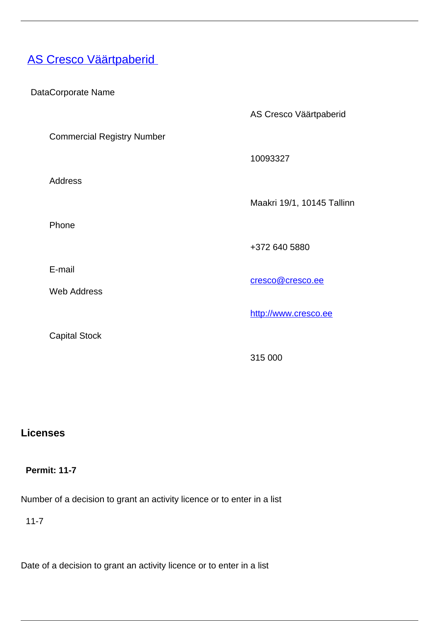# **[AS Cresco Väärtpaberid](/en/investment-market/investment-firms-0/investment-market/licenced-investment-firms-estonia/cresco-vaartpaberid)**

| DataCorporate Name                |                            |
|-----------------------------------|----------------------------|
|                                   | AS Cresco Väärtpaberid     |
| <b>Commercial Registry Number</b> |                            |
|                                   | 10093327                   |
| <b>Address</b>                    |                            |
|                                   | Maakri 19/1, 10145 Tallinn |
| Phone                             |                            |
|                                   | +372 640 5880              |
| E-mail                            | cresco@cresco.ee           |
| <b>Web Address</b>                |                            |
|                                   | http://www.cresco.ee       |
| <b>Capital Stock</b>              |                            |
|                                   | 315 000                    |

## **Licenses**

### **Permit: 11-7**

Number of a decision to grant an activity licence or to enter in a list

11-7

Date of a decision to grant an activity licence or to enter in a list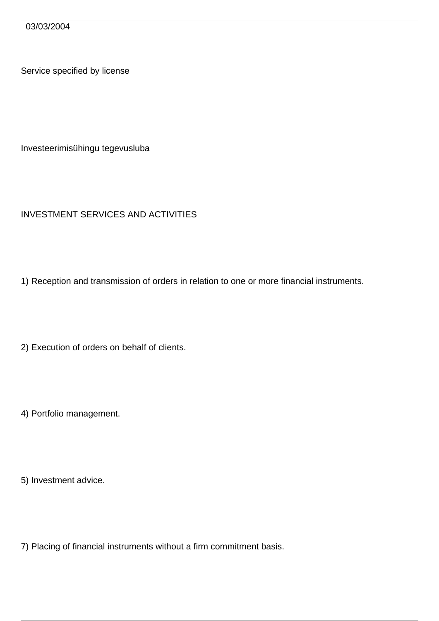03/03/2004

Service specified by license

Investeerimisühingu tegevusluba

#### INVESTMENT SERVICES AND ACTIVITIES

1) Reception and transmission of orders in relation to one or more financial instruments.

2) Execution of orders on behalf of clients.

4) Portfolio management.

5) Investment advice.

7) Placing of financial instruments without a firm commitment basis.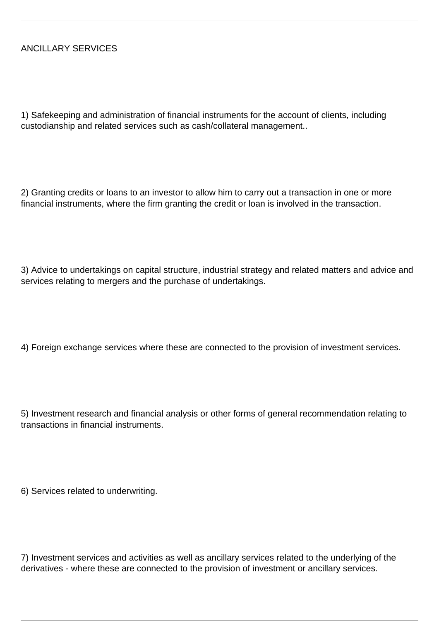#### ANCILLARY SERVICES

1) Safekeeping and administration of financial instruments for the account of clients, including custodianship and related services such as cash/collateral management..

2) Granting credits or loans to an investor to allow him to carry out a transaction in one or more financial instruments, where the firm granting the credit or loan is involved in the transaction.

3) Advice to undertakings on capital structure, industrial strategy and related matters and advice and services relating to mergers and the purchase of undertakings.

4) Foreign exchange services where these are connected to the provision of investment services.

5) Investment research and financial analysis or other forms of general recommendation relating to transactions in financial instruments.

6) Services related to underwriting.

7) Investment services and activities as well as ancillary services related to the underlying of the derivatives - where these are connected to the provision of investment or ancillary services.